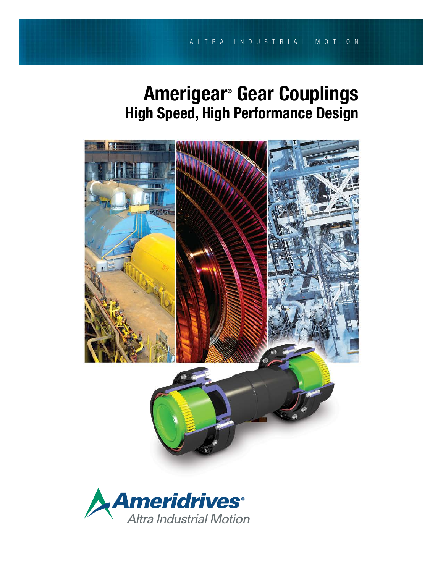# Amerigear® Gear Couplings High Speed, High Performance Design



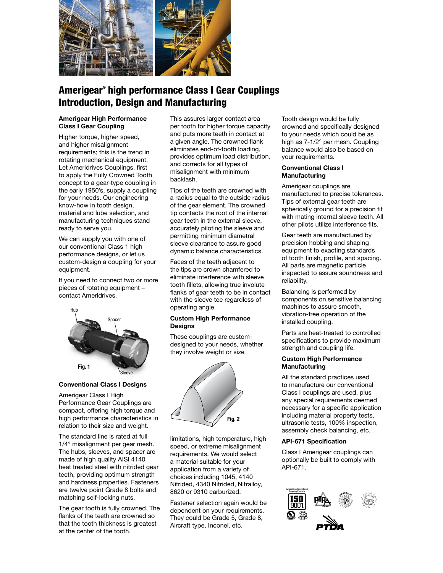

## Amerigear® high performance Class I Gear Couplings Introduction, Design and Manufacturing

#### Amerigear High Performance Class I Gear Coupling

Higher torque, higher speed, and higher misalignment requirements; this is the trend in rotating mechanical equipment. Let Ameridrives Couplings, first to apply the Fully Crowned Tooth concept to a gear-type coupling in the early 1950's, supply a coupling for your needs. Our engineering know-how in tooth design, material and lube selection, and manufacturing techniques stand ready to serve you.

We can supply you with one of our conventional Class 1 high performance designs, or let us custom-design a coupling for your equipment.

If you need to connect two or more pieces of rotating equipment – contact Ameridrives.



#### Conventional Class I Designs

Amerigear Class I High Performance Gear Couplings are compact, offering high torque and high performance characteristics in relation to their size and weight.

The standard line is rated at full 1/4° misalignment per gear mesh. The hubs, sleeves, and spacer are made of high quality AISI 4140 heat treated steel with nitrided gear teeth, providing optimum strength and hardness properties. Fasteners are twelve point Grade 8 bolts and matching self-locking nuts.

The gear tooth is fully crowned. The flanks of the teeth are crowned so that the tooth thickness is greatest at the center of the tooth.

This assures larger contact area per tooth for higher torque capacity and puts more teeth in contact at a given angle. The crowned flank eliminates end-of-tooth loading, provides optimum load distribution, and corrects for all types of misalignment with minimum backlash.

Tips of the teeth are crowned with a radius equal to the outside radius of the gear element. The crowned tip contacts the root of the internal gear teeth in the external sleeve, accurately piloting the sleeve and permitting minimum diametral sleeve clearance to assure good dynamic balance characteristics.

Faces of the teeth adjacent to the tips are crown chamfered to eliminate interference with sleeve tooth fillets, allowing true involute flanks of gear teeth to be in contact with the sleeve tee regardless of operating angle.

#### Custom High Performance **Designs**

These couplings are customdesigned to your needs, whether they involve weight or size



limitations, high temperature, high speed, or extreme misalignment requirements. We would select a material suitable for your application from a variety of choices including 1045, 4140 Nitrided, 4340 Nitrided, Nitralloy, 8620 or 9310 carburized.

Fastener selection again would be dependent on your requirements. They could be Grade 5, Grade 8, Aircraft type, Inconel, etc.

Tooth design would be fully crowned and specifically designed to your needs which could be as high as 7-1/2° per mesh. Coupling balance would also be based on your requirements.

#### Conventional Class I **Manufacturing**

Amerigear couplings are manufactured to precise tolerances. Tips of external gear teeth are spherically ground for a precision fit with mating internal sleeve teeth. All other pilots utilize interference fits.

Gear teeth are manufactured by precision hobbing and shaping equipment to exacting standards of tooth finish, profile, and spacing. All parts are magnetic particle inspected to assure soundness and reliability.

Balancing is performed by components on sensitive balancing machines to assure smooth, vibration-free operation of the installed coupling.

Parts are heat-treated to controlled specifications to provide maximum strength and coupling life.

#### Custom High Performance **Manufacturing**

All the standard practices used to manufacture our conventional Class I couplings are used, plus any special requirements deemed necessary for a specific application including material property tests, ultrasonic tests, 100% inspection, assembly check balancing, etc.

#### API-671 Specification

Class I Amerigear couplings can optionally be built to comply with API-671.

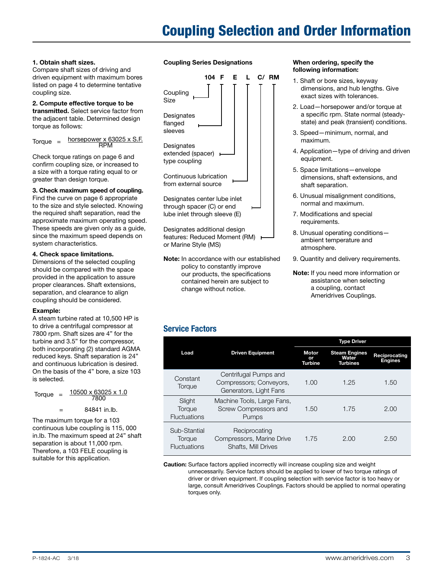# Coupling Selection and Order Information

#### 1. Obtain shaft sizes.

Compare shaft sizes of driving and driven equipment with maximum bores listed on page 4 to determine tentative coupling size.

#### 2. Compute effective torque to be transmitted. Select service factor from the adjacent table. Determined design torque as follows:

 $Torque =  $horsepower$$  $RPM$ 

Check torque ratings on page 6 and confirm coupling size, or increased to a size with a torque rating equal to or greater than design torque.

#### 3. Check maximum speed of coupling. Find the curve on page 6 appropriate to the size and style selected. Knowing the required shaft separation, read the approximate maximum operating speed. These speeds are given only as a guide, since the maximum speed depends on system characteristics.

#### 4. Check space limitations.

Dimensions of the selected coupling should be compared with the space provided in the application to assure proper clearances. Shaft extensions, separation, and clearance to align coupling should be considered.

#### Example:

A steam turbine rated at 10,500 HP is to drive a centrifugal compressor at 7800 rpm. Shaft sizes are 4" for the turbine and 3.5" for the compressor, both incorporating (2) standard AGMA reduced keys. Shaft separation is 24" and continuous lubrication is desired. On the basis of the 4" bore, a size 103 is selected.

Torque =  $\frac{10500 \times 63025 \times 1.0}{7800}$  $7800$ 

$$
= 84841 \text{ in.lb.}
$$

The maximum torque for a 103 continuous lube coupling is 115, 000 in.lb. The maximum speed at 24" shaft separation is about 11,000 rpm. Therefore, a 103 FELE coupling is suitable for this application.

### Coupling Series Designations



Designates additional design features: Reduced Moment (RM) or Marine Style (MS)

Note: In accordance with our established policy to constantly improve our products, the specifications contained herein are subject to change without notice.

#### When ordering, specify the following information:

- 1. Shaft or bore sizes, keyway dimensions, and hub lengths. Give exact sizes with tolerances.
- 2. Load—horsepower and/or torque at a specific rpm. State normal (steadystate) and peak (transient) conditions.
- 3. Speed—minimum, normal, and maximum.
- 4. Application—type of driving and driven equipment.
- 5. Space limitations—envelope dimensions, shaft extensions, and shaft separation.
- 6. Unusual misalignment conditions, normal and maximum.
- 7. Modifications and special requirements.
- 8. Unusual operating conditions ambient temperature and atmosphere.
- 9. Quantity and delivery requirements.
- Note: If you need more information or assistance when selecting a coupling, contact Ameridrives Couplings.

### Service Factors

|                                               |                                                                            | <b>Type Driver</b> |                                                  |                                 |  |  |
|-----------------------------------------------|----------------------------------------------------------------------------|--------------------|--------------------------------------------------|---------------------------------|--|--|
| Load                                          | <b>Driven Equipment</b>                                                    |                    | <b>Steam Engines</b><br>Water<br><b>Turbines</b> | Reciprocating<br><b>Engines</b> |  |  |
| Constant<br>Torque                            | Centrifugal Pumps and<br>Compressors; Conveyors,<br>Generators, Light Fans | 1.00               | 1.25                                             | 1.50                            |  |  |
| Slight<br>Torque<br><b>Fluctuations</b>       | Machine Tools, Large Fans,<br>Screw Compressors and<br>Pumps               | 1.50               | 1.75                                             | 2.00                            |  |  |
| Sub-Stantial<br>Torque<br><b>Fluctuations</b> | Reciprocating<br>Compressors, Marine Drive<br>Shafts, Mill Drives          | 1.75               | 2.00                                             | 2.50                            |  |  |

Caution: Surface factors applied incorrectly will increase coupling size and weight unnecessarily. Service factors should be applied to lower of two torque ratings of driver or driven equipment. If coupling selection with service factor is too heavy or large, consult Ameridrives Couplings. Factors should be applied to normal operating torques only.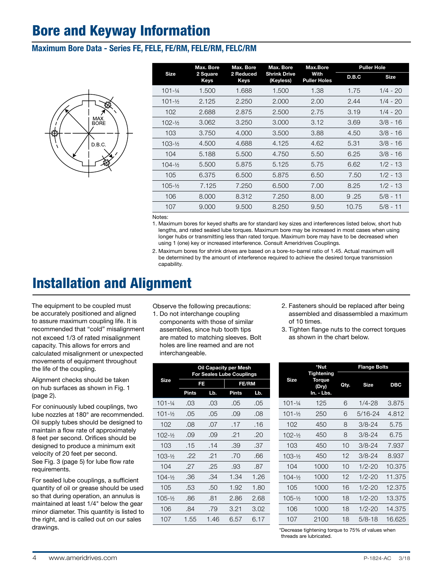## Bore and Keyway Information

### Maximum Bore Data - Series FE, FELE, FE/RM, FELE/RM, FELC/RM



| <b>Size</b>         | Max. Bore               | Max. Bore                | Max. Bore                        | Max.Bore                    | <b>Puller Hole</b> |             |  |
|---------------------|-------------------------|--------------------------|----------------------------------|-----------------------------|--------------------|-------------|--|
|                     | 2 Square<br><b>Keys</b> | 2 Reduced<br><b>Keys</b> | <b>Shrink Drive</b><br>(Keyless) | With<br><b>Puller Holes</b> | D.B.C              | <b>Size</b> |  |
| $101 - \frac{1}{4}$ | 1.500                   | 1.688                    | 1.500                            | 1.38                        | 1.75               | $1/4 - 20$  |  |
| $101 - \frac{1}{2}$ | 2.125                   | 2.250                    | 2.000                            | 2.00                        | 2.44               | $1/4 - 20$  |  |
| 102                 | 2.688                   | 2.875                    | 2.500                            | 2.75                        | 3.19               | $1/4 - 20$  |  |
| $102 - 1/2$         | 3.062                   | 3.250                    | 3.000                            | 3.12                        | 3.69               | $3/8 - 16$  |  |
| 103                 | 3.750                   | 4.000                    | 3.500                            | 3.88                        | 4.50               | $3/8 - 16$  |  |
| $103 - 16$          | 4.500                   | 4.688                    | 4.125                            | 4.62                        | 5.31               | $3/8 - 16$  |  |
| 104                 | 5.188                   | 5.500                    | 4.750                            | 5.50                        | 6.25               | $3/8 - 16$  |  |
| $104 - 16$          | 5.500                   | 5.875                    | 5.125                            | 5.75                        | 6.62               | $1/2 - 13$  |  |
| 105                 | 6.375                   | 6.500                    | 5.875                            | 6.50                        | 7.50               | $1/2 - 13$  |  |
| $105 - 1/2$         | 7.125                   | 7.250                    | 6.500                            | 7.00                        | 8.25               | $1/2 - 13$  |  |
| 106                 | 8.000                   | 8.312                    | 7.250                            | 8.00                        | 9.25               | $5/8 - 11$  |  |
| 107                 | 9.000                   | 9.500                    | 8.250                            | 9.50                        | 10.75              | $5/8 - 11$  |  |
|                     |                         |                          |                                  |                             |                    |             |  |

Notes:

1. Maximum bores for keyed shafts are for standard key sizes and interferences listed below, short hub lengths, and rated sealed lube torques. Maximum bore may be increased in most cases when using longer hubs or transmitting less than rated torque. Maximum bore may have to be decreased when using 1 (one) key or increased interference. Consult Ameridrives Couplings.

2. Maximum bores for shrink drives are based on a bore-to-barrel ratio of 1.45. Actual maximum will be determined by the amount of interference required to achieve the desired torque transmission capability.

## Installation and Alignment

The equipment to be coupled must be accurately positioned and aligned to assure maximum coupling life. It is recommended that "cold" misalignment not exceed 1/3 of rated misalignment capacity. This allows for errors and calculated misalignment or unexpected movements of equipment throughout the life of the coupling.

Alignment checks should be taken on hub surfaces as shown in Fig. 1 (page 2).

For coninuously lubed couplings, two lube nozzles at 180° are recommended. Oil supply tubes should be designed to maintain a flow rate of approximately 8 feet per second. Orifices should be designed to produce a minimum exit velocity of 20 feet per second. See Fig. 3 (page 5) for lube flow rate requirements.

For sealed lube couplings, a sufficient quantity of oil or grease should be used so that during operation, an annulus is maintained at least 1/4" below the gear minor diameter. This quantity is listed to the right, and is called out on our sales drawings.

Observe the following precautions:

1. Do not interchange coupling components with those of similar assemblies, since hub tooth tips are mated to matching sleeves. Bolt holes are line reamed and are not interchangeable.

|             | Oil Capacity per Mesh<br><b>For Seales Lube Couplings</b> |      |              |      |  |  |
|-------------|-----------------------------------------------------------|------|--------------|------|--|--|
| <b>Size</b> |                                                           | FE   | <b>FE/RM</b> |      |  |  |
|             | <b>Pints</b>                                              | Lb.  | Pints        | Lb.  |  |  |
| 101-¼       | .03                                                       | .03  | .05          | .05  |  |  |
| 101-½       | .05                                                       | .05  | .09          | .08  |  |  |
| 102         | .08                                                       | .07  | .17          | .16  |  |  |
| $102 - 1/2$ | .09                                                       | .09  | -21          | .20  |  |  |
| 103         | .15                                                       | .14  | .39          | .37  |  |  |
| $103 - 16$  | .22                                                       | .21  | .70          | .66  |  |  |
| 104         | .27                                                       | .25  | .93          | .87  |  |  |
| $104 - 1/2$ | .36                                                       | .34  | 1.34         | 1.26 |  |  |
| 105         | .53                                                       | .50  | 1.92         | 1.80 |  |  |
| $105 - 16$  | .86                                                       | .81  | 2.86         | 2.68 |  |  |
| 106         | .84                                                       | .79  | 3.21         | 3.02 |  |  |
| 107         | 1.55                                                      | 1.46 | 6.57         | 6.17 |  |  |

- 2. Fasteners should be replaced after being assembled and disassembled a maximum of 10 times.
- 3. Tighten flange nuts to the correct torques as shown in the chart below.

| <b>Size</b>         | *Nut                                               | <b>Flange Bolts</b> |             |            |  |  |
|---------------------|----------------------------------------------------|---------------------|-------------|------------|--|--|
|                     | <b>Tightening</b><br>Torque<br>(Dry)<br>In. - Lbs. | Qty.                | <b>Size</b> | <b>DBC</b> |  |  |
| $101 - \frac{1}{4}$ | 125                                                | ട                   | $1/4 - 28$  | 3.875      |  |  |
| $101 - 1/2$         | 250                                                | 6                   | 5/16-24     | 4.812      |  |  |
| 102                 | 450                                                | 8                   | $3/8 - 24$  | 5.75       |  |  |
| $102 - 1/2$         | 450                                                | 8                   | $3/8 - 24$  | 6.75       |  |  |
| 103                 | 450                                                | 10                  | $3/8 - 24$  | 7.937      |  |  |
| $103 - 1/2$         | 450                                                | 12                  | $3/8 - 24$  | 8.937      |  |  |
| 104                 | 1000                                               | 10                  | $1/2 - 20$  | 10.375     |  |  |
| $104 - 1/2$         | 1000                                               | 12                  | $1/2 - 20$  | 11.375     |  |  |
| 105                 | 1000                                               | 16                  | $1/2 - 20$  | 12.375     |  |  |
| $105 - 1/2$         | 1000                                               | 18                  | 1/2-20      | 13.375     |  |  |
| 106                 | 1000                                               | 18                  | $1/2 - 20$  | 14.375     |  |  |
| 107                 | 2100                                               | 18                  | 5/8-18      | 16.625     |  |  |

\*Decrease tightening torque to 75% of values when threads are lubricated.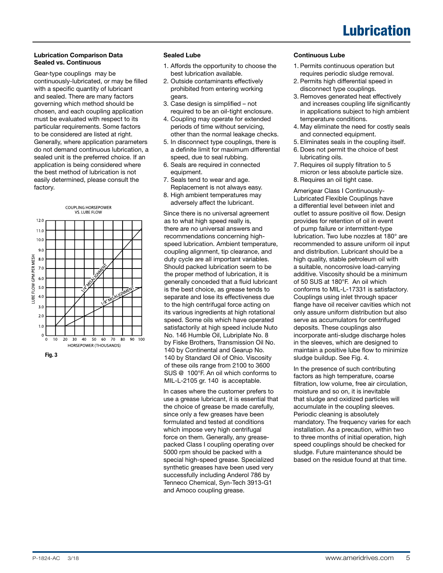# Lubrication

### Lubrication Comparison Data Sealed vs. Continuous

Gear-type couplings may be continuously-lubricated, or may be filled with a specific quantity of lubricant and sealed. There are many factors governing which method should be chosen, and each coupling application must be evaluated with respect to its particular requirements. Some factors to be considered are listed at right. Generally, where application parameters do not demand continuous lubrication, a sealed unit is the preferred choice. If an application is being considered where the best method of lubrication is not easily determined, please consult the factory.



### Sealed Lube

- 1. Affords the opportunity to choose the best lubrication available.
- 2. Outside contaminants effectively prohibited from entering working gears.
- 3. Case design is simplified not required to be an oil-tight enclosure.
- 4. Coupling may operate for extended periods of time without servicing, other than the normal leakage checks.
- 5. In disconnect type couplings, there is a definite limit for maximum differential speed, due to seal rubbing.
- 6. Seals are required in connected equipment.
- 7. Seals tend to wear and age. Replacement is not always easy.
- 8. High ambient temperatures may adversely affect the lubricant.

Since there is no universal agreement as to what high speed really is, there are no universal answers and recommendations concerning highspeed lubrication. Ambient temperature, coupling alignment, tip clearance, and duty cycle are all important variables. Should packed lubrication seem to be the proper method of lubrication, it is generally conceded that a fluid lubricant is the best choice, as grease tends to separate and lose its effectiveness due to the high centrifugal force acting on its various ingredients at high rotational speed. Some oils which have operated satisfactorily at high speed include Nuto No. 146 Humble Oil, Lubriplate No. 8 by Fiske Brothers, Transmission Oil No. 140 by Continental and Gearup No. 140 by Standard Oil of Ohio. Viscosity of these oils range from 2100 to 3600 SUS @ 100°F. An oil which conforms to MIL-L-2105 gr. 140 is acceptable.

In cases where the customer prefers to use a grease lubricant, it is essential that the choice of grease be made carefully, since only a few greases have been formulated and tested at conditions which impose very high centrifugal force on them. Generally, any greasepacked Class I coupling operating over 5000 rpm should be packed with a special high-speed grease. Specialized synthetic greases have been used very successfully including Anderol 786 by Tenneco Chemical, Syn-Tech 3913-G1 and Amoco coupling grease.

#### Continuous Lube

- 1. Permits continuous operation but requires periodic sludge removal.
- 2. Permits high differential speed in disconnect type couplings.
- 3. Removes generated heat effectively and increases coupling life significantly in applications subject to high ambient temperature conditions.
- 4. May eliminate the need for costly seals and connected equipment.
- 5. Eliminates seals in the coupling itself.
- 6. Does not permit the choice of best lubricating oils.
- 7. Requires oil supply filtration to 5 micron or less absolute particle size.
- 8. Requires an oil tight case.

Amerigear Class I Continuously-Lubricated Flexible Couplings have a differential level between inlet and outlet to assure positive oil flow. Design provides for retention of oil in event of pump failure or intermittent-type lubrication. Two lube nozzles at 180° are recommended to assure uniform oil input and distribution. Lubricant should be a high quality, stable petroleum oil with a suitable, noncorrosive load-carrying additive. Viscosity should be a minimum of 50 SUS at 180°F. An oil which conforms to MIL-L-17331 is satisfactory. Couplings using inlet through spacer flange have oil receiver cavities which not only assure uniform distribution but also serve as accumulators for centrifuged deposits. These couplings also incorporate anti-sludge discharge holes in the sleeves, which are designed to maintain a positive lube flow to minimize sludge buildup. See Fig. 4.

In the presence of such contributing factors as high temperature, coarse filtration, low volume, free air circulation, moisture and so on, it is inevitable that sludge and oxidized particles will accumulate in the coupling sleeves. Periodic cleaning is absolutely mandatory. The frequency varies for each installation. As a precaution, within two to three months of initial operation, high speed couplings should be checked for sludge. Future maintenance should be based on the residue found at that time.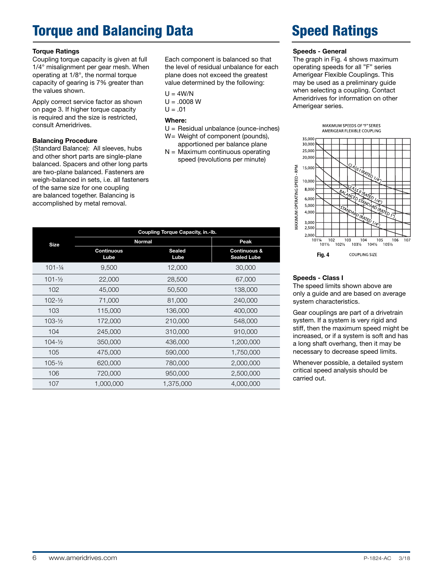# Torque and Balancing Data

### Torque Ratings

Coupling torque capacity is given at full 1/4° misalignment per gear mesh. When operating at 1/8°, the normal torque capacity of gearing is 7% greater than the values shown.

Apply correct service factor as shown on page 3. If higher torque capacity is required and the size is restricted, consult Ameridrives.

### Balancing Procedure

(Standard Balance): All sleeves, hubs and other short parts are single-plane balanced. Spacers and other long parts are two-plane balanced. Fasteners are weigh-balanced in sets, i.e. all fasteners of the same size for one coupling are balanced together. Balancing is accomplished by metal removal.

Each component is balanced so that the level of residual unbalance for each plane does not exceed the greatest value determined by the following:

 $U = 4W/N$ 

- $U = .0008 W$
- $U = .01$

#### Where:

- U = Residual unbalance (ounce-inches)
- W= Weight of component (pounds), apportioned per balance plane
- $N =$  Maximum continuous operating speed (revolutions per minute)

|                     | Coupling Torque Capacity, in.-lb. |                |                                               |  |  |  |
|---------------------|-----------------------------------|----------------|-----------------------------------------------|--|--|--|
| <b>Size</b>         | <b>Normal</b>                     | Peak           |                                               |  |  |  |
|                     | <b>Continuous</b><br>Lube         | Sealed<br>Lube | <b>Continuous &amp;</b><br><b>Sealed Lube</b> |  |  |  |
| $101 - \frac{1}{4}$ | 9,500                             | 12,000         | 30,000                                        |  |  |  |
| $101 - \frac{1}{2}$ | 22,000                            | 28,500         | 67,000                                        |  |  |  |
| 102                 | 45,000                            | 50,500         | 138,000                                       |  |  |  |
| $102 - 1/2$         | 71,000                            | 81,000         | 240,000                                       |  |  |  |
| 103                 | 115,000                           | 136,000        | 400,000                                       |  |  |  |
| $103 - \frac{1}{2}$ | 172,000                           | 210,000        | 548,000                                       |  |  |  |
| 104                 | 245,000                           | 310,000        | 910,000                                       |  |  |  |
| $104 - \frac{1}{2}$ | 350,000                           | 436,000        | 1,200,000                                     |  |  |  |
| 105                 | 475,000                           | 590,000        | 1,750,000                                     |  |  |  |
| $105 - \frac{1}{2}$ | 620,000                           | 780,000        | 2,000,000                                     |  |  |  |
| 106                 | 720,000                           | 950,000        | 2,500,000                                     |  |  |  |
| 107                 | 1,000,000                         | 1,375,000      | 4,000,000                                     |  |  |  |

# Speed Ratings

#### Speeds - General

The graph in Fig. 4 shows maximum operating speeds for all "F" series Amerigear Flexible Couplings. This may be used as a preliminary guide when selecting a coupling. Contact Ameridrives for information on other Amerigear series.



### Speeds - Class I

The speed limits shown above are only a guide and are based on average system characteristics.

Gear couplings are part of a drivetrain system. If a system is very rigid and stiff, then the maximum speed might be increased, or if a system is soft and has a long shaft overhang, then it may be necessary to decrease speed limits.

Whenever possible, a detailed system critical speed analysis should be carried out.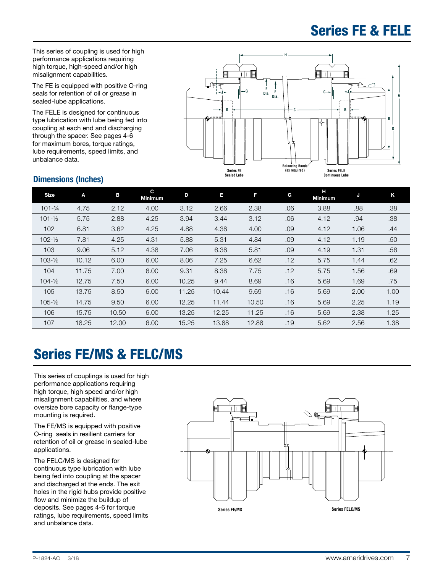## Series FE & FELE

This series of coupling is used for high performance applications requiring high torque, high-speed and/or high misalignment capabilities.

The FE is equipped with positive O-ring seals for retention of oil or grease in sealed-lube applications.

The FELE is designed for continuous type lubrication with lube being fed into coupling at each end and discharging through the spacer. See pages 4-6 for maximum bores, torque ratings, lube requirements, speed limits, and unbalance data.



### Dimensions (Inches)

| <b>Size</b>         | Α     | в     | C.<br><b>Minimum</b> | D     | Е     | F     | G   | н<br><b>Minimum</b> | J    | Κ    |
|---------------------|-------|-------|----------------------|-------|-------|-------|-----|---------------------|------|------|
| $101 - \frac{1}{4}$ | 4.75  | 2.12  | 4.00                 | 3.12  | 2.66  | 2.38  | .06 | 3.88                | .88  | .38  |
| $101 - \frac{1}{2}$ | 5.75  | 2.88  | 4.25                 | 3.94  | 3.44  | 3.12  | .06 | 4.12                | .94  | .38  |
| 102                 | 6.81  | 3.62  | 4.25                 | 4.88  | 4.38  | 4.00  | .09 | 4.12                | 1.06 | .44  |
| $102 - \frac{1}{2}$ | 7.81  | 4.25  | 4.31                 | 5.88  | 5.31  | 4.84  | .09 | 4.12                | 1.19 | .50  |
| 103                 | 9.06  | 5.12  | 4.38                 | 7.06  | 6.38  | 5.81  | .09 | 4.19                | 1.31 | .56  |
| $103 - 1/2$         | 10.12 | 6.00  | 6.00                 | 8.06  | 7.25  | 6.62  | .12 | 5.75                | 1.44 | .62  |
| 104                 | 11.75 | 7.00  | 6.00                 | 9.31  | 8.38  | 7.75  | .12 | 5.75                | 1.56 | .69  |
| $104 - \frac{1}{2}$ | 12.75 | 7.50  | 6.00                 | 10.25 | 9.44  | 8.69  | .16 | 5.69                | 1.69 | .75  |
| 105                 | 13.75 | 8.50  | 6.00                 | 11.25 | 10.44 | 9.69  | .16 | 5.69                | 2.00 | 1.00 |
| $105 - 1/2$         | 14.75 | 9.50  | 6.00                 | 12.25 | 11.44 | 10.50 | .16 | 5.69                | 2.25 | 1.19 |
| 106                 | 15.75 | 10.50 | 6.00                 | 13.25 | 12.25 | 11.25 | .16 | 5.69                | 2.38 | 1.25 |
| 107                 | 18.25 | 12.00 | 6.00                 | 15.25 | 13.88 | 12.88 | .19 | 5.62                | 2.56 | 1.38 |

# Series FE/MS & FELC/MS

This series of couplings is used for high performance applications requiring high torque, high speed and/or high misalignment capabilities, and where oversize bore capacity or flange-type mounting is required.

The FE/MS is equipped with positive O-ring seals in resilient carriers for retention of oil or grease in sealed-lube applications.

The FELC/MS is designed for continuous type lubrication with lube being fed into coupling at the spacer and discharged at the ends. The exit holes in the rigid hubs provide positive flow and minimize the buildup of deposits. See pages 4-6 for torque ratings, lube requirements, speed limits and unbalance data.